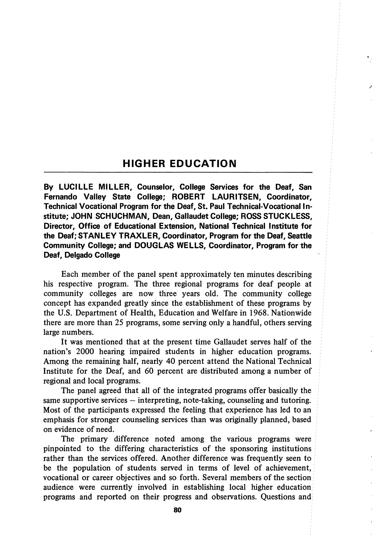## HIGHER EDUCATION

By LUCILLE MILLER, Counselor, College Services for the Deaf, San Fernando Valley State College; ROBERT LAURITSEN, Coordinator, Technical Vocational Program for the Deaf, St. Paul Technical-Vocational In stitute; JOHN SCHUCHMAN, Dean, Gallaudet College; ROSS STUCKLESS, Director, Office of Educational Extension, National Technical Institute for the Deaf; STANLEY TRAXLER, Coordinator, Program for the Deaf, Seattle Community College; and DOUGLAS WELLS, Coordinator, Program for the Deaf, Delgado College

Each member of the panel spent approximately ten minutes describing his respective program. The three regional programs for deaf people at community colleges are now three years old. The community college concept has expanded greatly since the establishment of these programs by the U.S. Department of Health, Education and Welfare in 1968. Nationwide there are more than 25 programs, some serving only a handful, others serving large numbers.

It was mentioned that at the present time Gallaudet serves half of the nation's 2000 hearing impaired students in higher education programs. Among the remaining half, nearly 40 percent attend the National Technical Institute for the Deaf, and 60 percent are distributed among a number of regional and local programs.

The panel agreed that all of the integrated programs offer basically the same supportive services — interpreting, note-taking, counseling and tutoring. Most of the participants expressed the feeling that experience has led to an emphasis for stronger counseling services than was originally planned, based on evidence of need.

The primary difference noted among the various programs were pinpointed to the differing characteristics of the sponsoring institutions rather than the services offered. Another difference was frequently seen to be the population of students served in terms of level of achievement, vocational or career objectives and so forth. Several members of the section audience were currently involved in establishing local higher education programs and reported on their progress and observations. Questions and